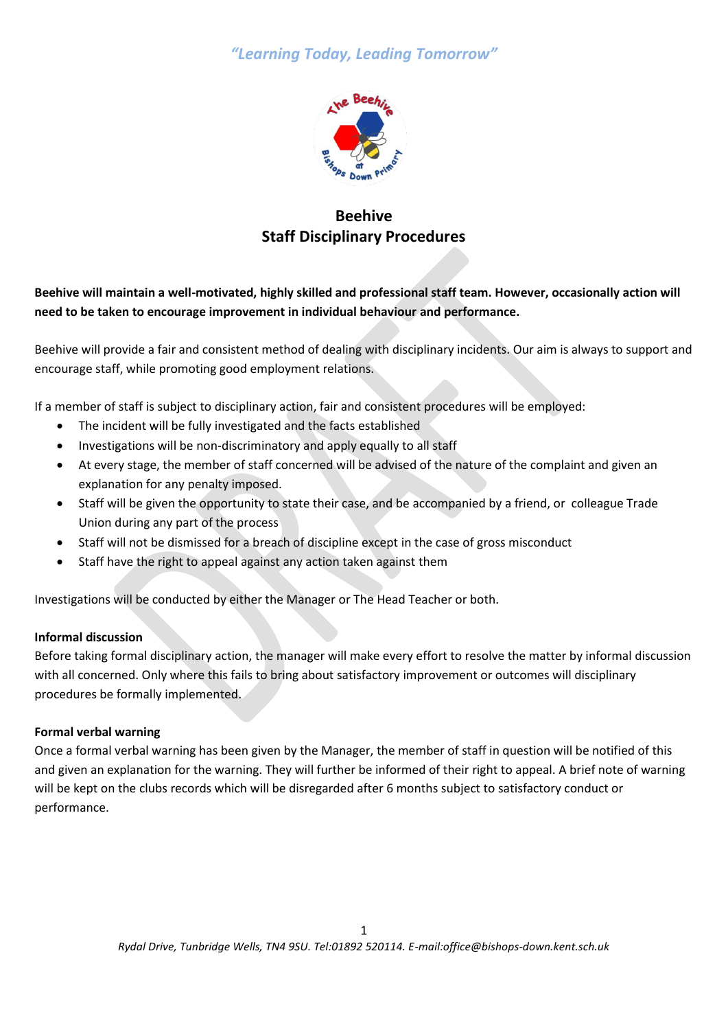# *"Learning Today, Leading Tomorrow"*



# **Beehive Staff Disciplinary Procedures**

## **Beehive will maintain a well-motivated, highly skilled and professional staff team. However, occasionally action will need to be taken to encourage improvement in individual behaviour and performance.**

Beehive will provide a fair and consistent method of dealing with disciplinary incidents. Our aim is always to support and encourage staff, while promoting good employment relations.

If a member of staff is subject to disciplinary action, fair and consistent procedures will be employed:

- The incident will be fully investigated and the facts established
- Investigations will be non-discriminatory and apply equally to all staff
- At every stage, the member of staff concerned will be advised of the nature of the complaint and given an explanation for any penalty imposed.
- Staff will be given the opportunity to state their case, and be accompanied by a friend, or colleague Trade Union during any part of the process
- Staff will not be dismissed for a breach of discipline except in the case of gross misconduct
- Staff have the right to appeal against any action taken against them

Investigations will be conducted by either the Manager or The Head Teacher or both.

### **Informal discussion**

Before taking formal disciplinary action, the manager will make every effort to resolve the matter by informal discussion with all concerned. Only where this fails to bring about satisfactory improvement or outcomes will disciplinary procedures be formally implemented.

### **Formal verbal warning**

Once a formal verbal warning has been given by the Manager, the member of staff in question will be notified of this and given an explanation for the warning. They will further be informed of their right to appeal. A brief note of warning will be kept on the clubs records which will be disregarded after 6 months subject to satisfactory conduct or performance.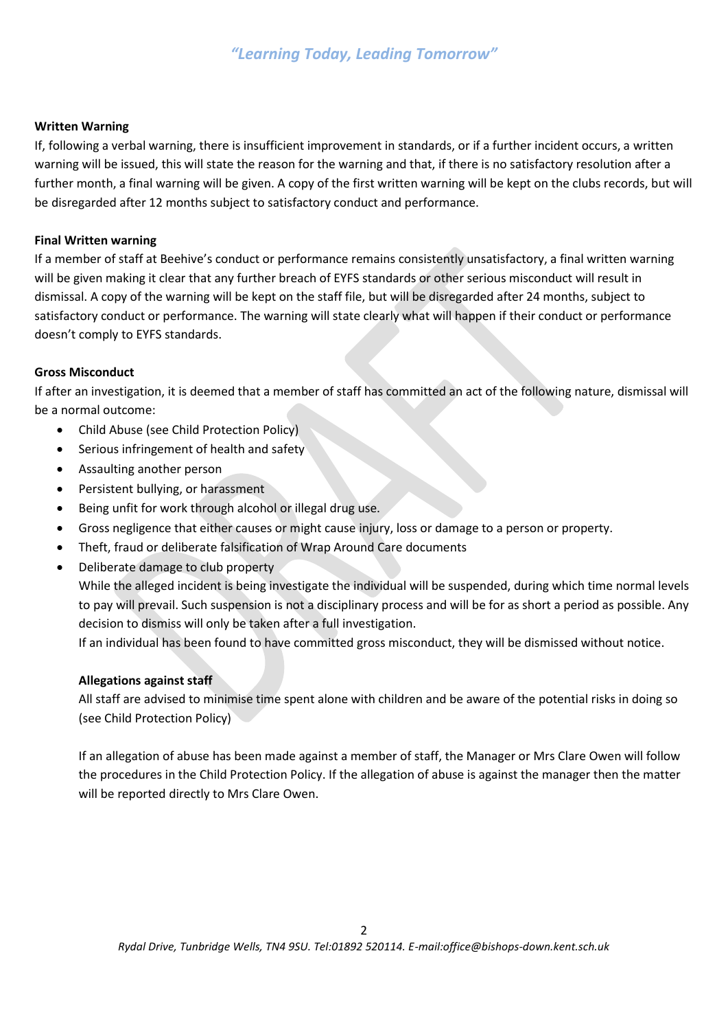# *"Learning Today, Leading Tomorrow"*

#### **Written Warning**

If, following a verbal warning, there is insufficient improvement in standards, or if a further incident occurs, a written warning will be issued, this will state the reason for the warning and that, if there is no satisfactory resolution after a further month, a final warning will be given. A copy of the first written warning will be kept on the clubs records, but will be disregarded after 12 months subject to satisfactory conduct and performance.

#### **Final Written warning**

If a member of staff at Beehive's conduct or performance remains consistently unsatisfactory, a final written warning will be given making it clear that any further breach of EYFS standards or other serious misconduct will result in dismissal. A copy of the warning will be kept on the staff file, but will be disregarded after 24 months, subject to satisfactory conduct or performance. The warning will state clearly what will happen if their conduct or performance doesn't comply to EYFS standards.

#### **Gross Misconduct**

If after an investigation, it is deemed that a member of staff has committed an act of the following nature, dismissal will be a normal outcome:

- Child Abuse (see Child Protection Policy)
- Serious infringement of health and safety
- Assaulting another person
- Persistent bullying, or harassment
- Being unfit for work through alcohol or illegal drug use.
- Gross negligence that either causes or might cause injury, loss or damage to a person or property.
- Theft, fraud or deliberate falsification of Wrap Around Care documents
- Deliberate damage to club property

While the alleged incident is being investigate the individual will be suspended, during which time normal levels to pay will prevail. Such suspension is not a disciplinary process and will be for as short a period as possible. Any decision to dismiss will only be taken after a full investigation.

If an individual has been found to have committed gross misconduct, they will be dismissed without notice.

### **Allegations against staff**

All staff are advised to minimise time spent alone with children and be aware of the potential risks in doing so (see Child Protection Policy)

If an allegation of abuse has been made against a member of staff, the Manager or Mrs Clare Owen will follow the procedures in the Child Protection Policy. If the allegation of abuse is against the manager then the matter will be reported directly to Mrs Clare Owen.